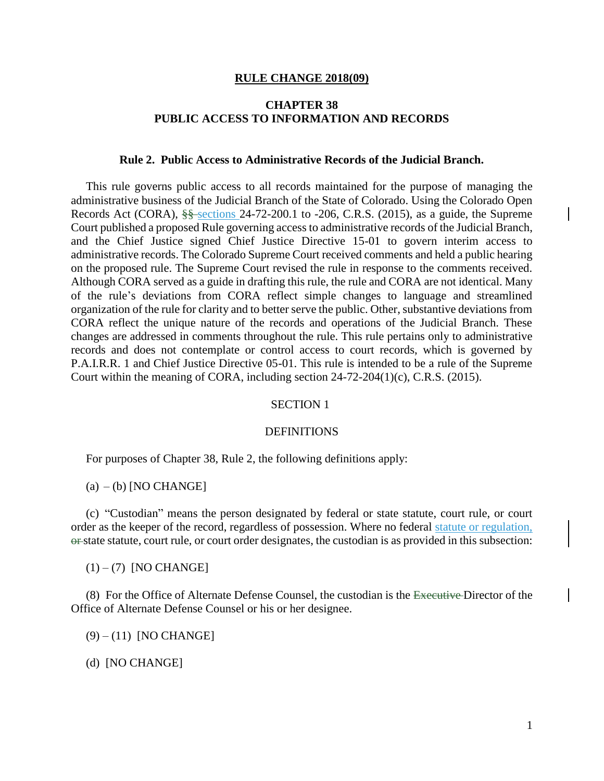#### **RULE CHANGE 2018(09)**

## **CHAPTER 38 PUBLIC ACCESS TO INFORMATION AND RECORDS**

#### **Rule 2. Public Access to Administrative Records of the Judicial Branch.**

This rule governs public access to all records maintained for the purpose of managing the administrative business of the Judicial Branch of the State of Colorado. Using the Colorado Open Records Act (CORA), §§ sections 24-72-200.1 to -206, C.R.S. (2015), as a guide, the Supreme Court published a proposed Rule governing access to administrative records of the Judicial Branch, and the Chief Justice signed Chief Justice Directive 15-01 to govern interim access to administrative records. The Colorado Supreme Court received comments and held a public hearing on the proposed rule. The Supreme Court revised the rule in response to the comments received. Although CORA served as a guide in drafting this rule, the rule and CORA are not identical. Many of the rule's deviations from CORA reflect simple changes to language and streamlined organization of the rule for clarity and to better serve the public. Other, substantive deviations from CORA reflect the unique nature of the records and operations of the Judicial Branch. These changes are addressed in comments throughout the rule. This rule pertains only to administrative records and does not contemplate or control access to court records, which is governed by P.A.I.R.R. 1 and Chief Justice Directive 05-01. This rule is intended to be a rule of the Supreme Court within the meaning of CORA, including section 24-72-204(1)(c), C.R.S. (2015).

### SECTION 1

#### **DEFINITIONS**

For purposes of Chapter 38, Rule 2, the following definitions apply:

 $(a) - (b)$  [NO CHANGE]

(c) "Custodian" means the person designated by federal or state statute, court rule, or court order as the keeper of the record, regardless of possession. Where no federal statute or regulation, or state statute, court rule, or court order designates, the custodian is as provided in this subsection:

 $(1) - (7)$  [NO CHANGE]

(8) For the Office of Alternate Defense Counsel, the custodian is the Executive Director of the Office of Alternate Defense Counsel or his or her designee.

(9) – (11) [NO CHANGE]

(d) [NO CHANGE]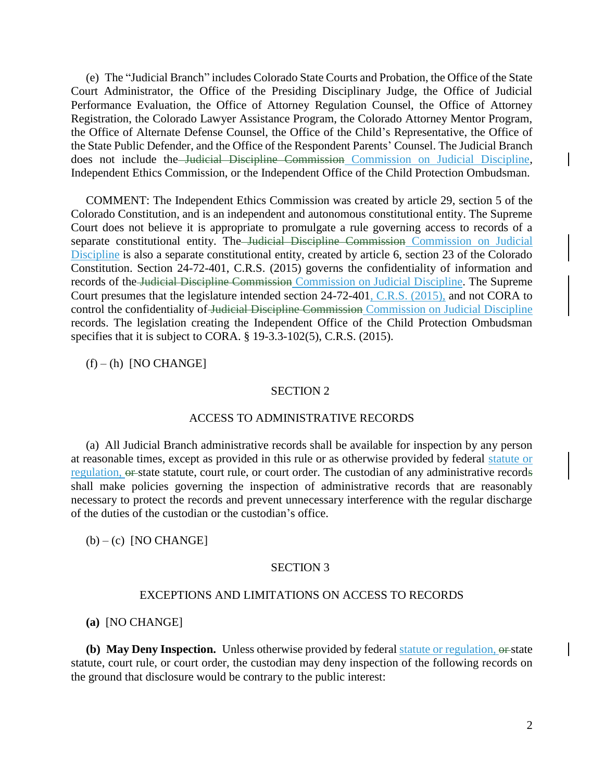(e) The "Judicial Branch" includes Colorado State Courts and Probation, the Office of the State Court Administrator, the Office of the Presiding Disciplinary Judge, the Office of Judicial Performance Evaluation, the Office of Attorney Regulation Counsel, the Office of Attorney Registration, the Colorado Lawyer Assistance Program, the Colorado Attorney Mentor Program, the Office of Alternate Defense Counsel, the Office of the Child's Representative, the Office of the State Public Defender, and the Office of the Respondent Parents' Counsel. The Judicial Branch does not include the Judicial Discipline Commission Commission on Judicial Discipline, Independent Ethics Commission, or the Independent Office of the Child Protection Ombudsman.

COMMENT: The Independent Ethics Commission was created by article 29, section 5 of the Colorado Constitution, and is an independent and autonomous constitutional entity. The Supreme Court does not believe it is appropriate to promulgate a rule governing access to records of a separate constitutional entity. The Judicial Discipline Commission Commission on Judicial Discipline is also a separate constitutional entity, created by article 6, section 23 of the Colorado Constitution. Section 24-72-401, C.R.S. (2015) governs the confidentiality of information and records of the Judicial Discipline Commission Commission on Judicial Discipline. The Supreme Court presumes that the legislature intended section 24-72-401, C.R.S. (2015), and not CORA to control the confidentiality of Judicial Discipline Commission Commission on Judicial Discipline records. The legislation creating the Independent Office of the Child Protection Ombudsman specifies that it is subject to CORA. § 19-3.3-102(5), C.R.S. (2015).

## $(f) - (h)$  [NO CHANGE]

### SECTION 2

#### ACCESS TO ADMINISTRATIVE RECORDS

(a) All Judicial Branch administrative records shall be available for inspection by any person at reasonable times, except as provided in this rule or as otherwise provided by federal statute or regulation, or state statute, court rule, or court order. The custodian of any administrative records shall make policies governing the inspection of administrative records that are reasonably necessary to protect the records and prevent unnecessary interference with the regular discharge of the duties of the custodian or the custodian's office.

## $(b) - (c)$  [NO CHANGE]

#### SECTION 3

#### EXCEPTIONS AND LIMITATIONS ON ACCESS TO RECORDS

#### **(a)** [NO CHANGE]

**(b) May Deny Inspection.** Unless otherwise provided by federal statute or regulation,  $\Theta$ -state statute, court rule, or court order, the custodian may deny inspection of the following records on the ground that disclosure would be contrary to the public interest: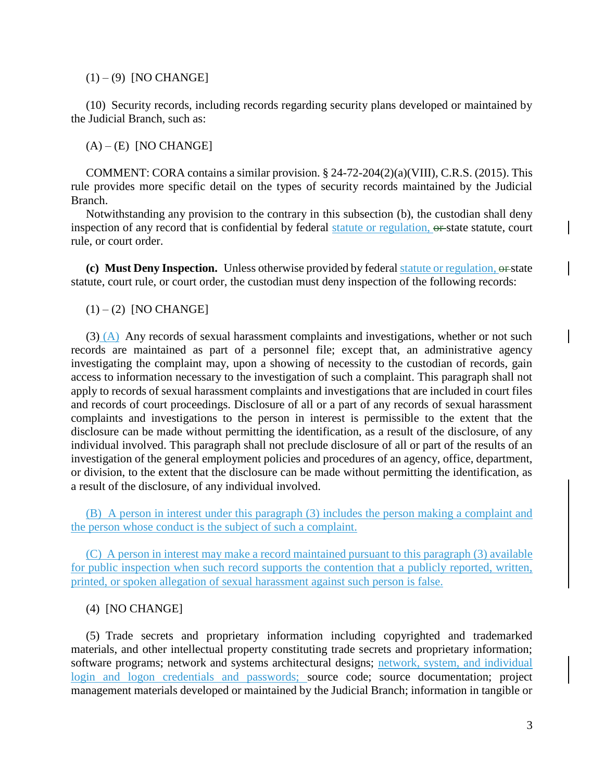$(1) - (9)$  [NO CHANGE]

(10) Security records, including records regarding security plans developed or maintained by the Judicial Branch, such as:

 $(A) - (E)$  [NO CHANGE]

COMMENT: CORA contains a similar provision. § 24-72-204(2)(a)(VIII), C.R.S. (2015). This rule provides more specific detail on the types of security records maintained by the Judicial Branch.

Notwithstanding any provision to the contrary in this subsection (b), the custodian shall deny inspection of any record that is confidential by federal statute or regulation, or state statute, court rule, or court order.

**(c) Must Deny Inspection.** Unless otherwise provided by federal statute or regulation,  $\Theta$ -state statute, court rule, or court order, the custodian must deny inspection of the following records:

## $(1) - (2)$  [NO CHANGE]

 $(3)$  (A) Any records of sexual harassment complaints and investigations, whether or not such records are maintained as part of a personnel file; except that, an administrative agency investigating the complaint may, upon a showing of necessity to the custodian of records, gain access to information necessary to the investigation of such a complaint. This paragraph shall not apply to records of sexual harassment complaints and investigations that are included in court files and records of court proceedings. Disclosure of all or a part of any records of sexual harassment complaints and investigations to the person in interest is permissible to the extent that the disclosure can be made without permitting the identification, as a result of the disclosure, of any individual involved. This paragraph shall not preclude disclosure of all or part of the results of an investigation of the general employment policies and procedures of an agency, office, department, or division, to the extent that the disclosure can be made without permitting the identification, as a result of the disclosure, of any individual involved.

(B) A person in interest under this paragraph (3) includes the person making a complaint and the person whose conduct is the subject of such a complaint.

(C) A person in interest may make a record maintained pursuant to this paragraph (3) available for public inspection when such record supports the contention that a publicly reported, written, printed, or spoken allegation of sexual harassment against such person is false.

## (4) [NO CHANGE]

(5) Trade secrets and proprietary information including copyrighted and trademarked materials, and other intellectual property constituting trade secrets and proprietary information; software programs; network and systems architectural designs; network, system, and individual login and logon credentials and passwords; source code; source documentation; project management materials developed or maintained by the Judicial Branch; information in tangible or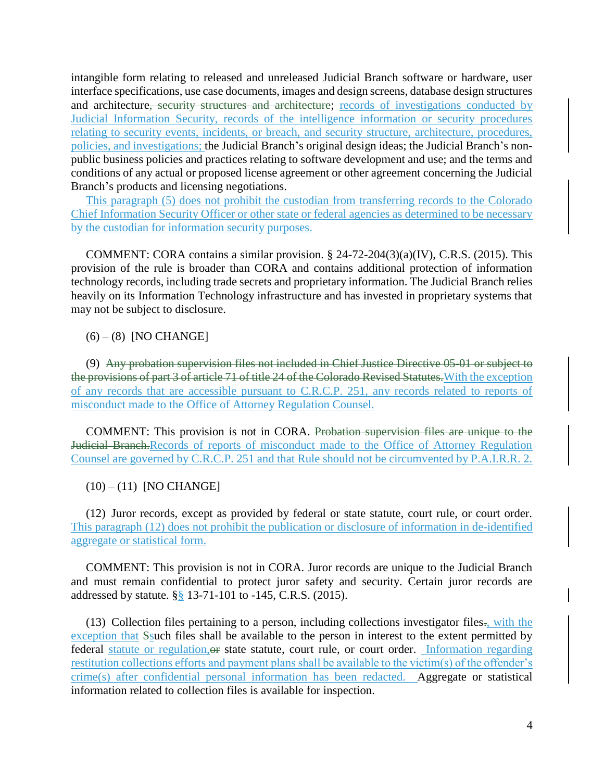intangible form relating to released and unreleased Judicial Branch software or hardware, user interface specifications, use case documents, images and design screens, database design structures and architecture, security structures and architecture; records of investigations conducted by Judicial Information Security, records of the intelligence information or security procedures relating to security events, incidents, or breach, and security structure, architecture, procedures, policies, and investigations; the Judicial Branch's original design ideas; the Judicial Branch's nonpublic business policies and practices relating to software development and use; and the terms and conditions of any actual or proposed license agreement or other agreement concerning the Judicial Branch's products and licensing negotiations.

This paragraph (5) does not prohibit the custodian from transferring records to the Colorado Chief Information Security Officer or other state or federal agencies as determined to be necessary by the custodian for information security purposes.

COMMENT: CORA contains a similar provision. § 24-72-204(3)(a)(IV), C.R.S. (2015). This provision of the rule is broader than CORA and contains additional protection of information technology records, including trade secrets and proprietary information. The Judicial Branch relies heavily on its Information Technology infrastructure and has invested in proprietary systems that may not be subject to disclosure.

 $(6) - (8)$  [NO CHANGE]

(9) Any probation supervision files not included in Chief Justice Directive 05-01 or subject to the provisions of part 3 of article 71 of title 24 of the Colorado Revised Statutes.With the exception of any records that are accessible pursuant to C.R.C.P. 251, any records related to reports of misconduct made to the Office of Attorney Regulation Counsel.

COMMENT: This provision is not in CORA. Probation supervision files are unique to the Judicial Branch.Records of reports of misconduct made to the Office of Attorney Regulation Counsel are governed by C.R.C.P. 251 and that Rule should not be circumvented by P.A.I.R.R. 2.

 $(10) - (11)$  [NO CHANGE]

(12) Juror records, except as provided by federal or state statute, court rule, or court order. This paragraph (12) does not prohibit the publication or disclosure of information in de-identified aggregate or statistical form.

COMMENT: This provision is not in CORA. Juror records are unique to the Judicial Branch and must remain confidential to protect juror safety and security. Certain juror records are addressed by statute. §§ 13-71-101 to -145, C.R.S. (2015).

(13) Collection files pertaining to a person, including collections investigator files., with the exception that Ssuch files shall be available to the person in interest to the extent permitted by federal statute or regulation, or state statute, court rule, or court order. Information regarding restitution collections efforts and payment plans shall be available to the victim(s) of the offender's crime(s) after confidential personal information has been redacted. Aggregate or statistical information related to collection files is available for inspection.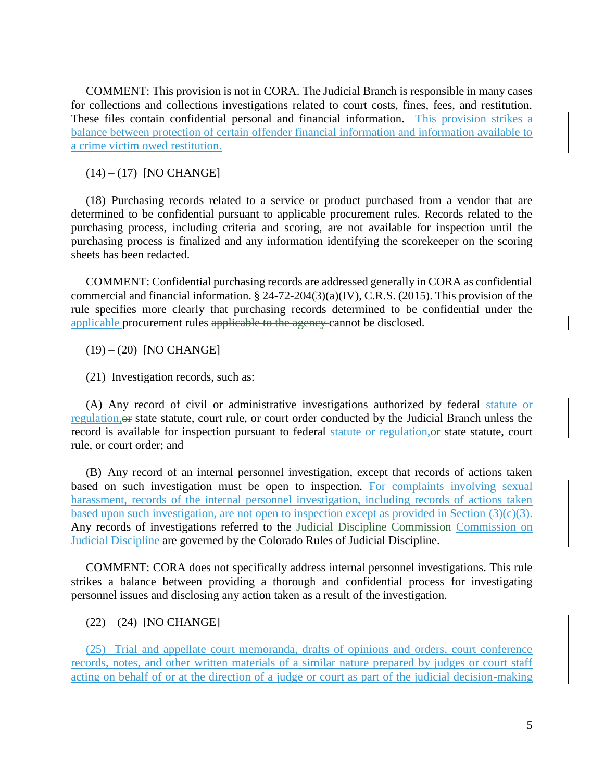COMMENT: This provision is not in CORA. The Judicial Branch is responsible in many cases for collections and collections investigations related to court costs, fines, fees, and restitution. These files contain confidential personal and financial information. This provision strikes a balance between protection of certain offender financial information and information available to a crime victim owed restitution.

 $(14) - (17)$  [NO CHANGE]

(18) Purchasing records related to a service or product purchased from a vendor that are determined to be confidential pursuant to applicable procurement rules. Records related to the purchasing process, including criteria and scoring, are not available for inspection until the purchasing process is finalized and any information identifying the scorekeeper on the scoring sheets has been redacted.

COMMENT: Confidential purchasing records are addressed generally in CORA as confidential commercial and financial information. § 24-72-204(3)(a)(IV), C.R.S. (2015). This provision of the rule specifies more clearly that purchasing records determined to be confidential under the applicable procurement rules applicable to the agency cannot be disclosed.

(19) – (20) [NO CHANGE]

(21) Investigation records, such as:

(A) Any record of civil or administrative investigations authorized by federal statute or regulation, of state statute, court rule, or court order conducted by the Judicial Branch unless the record is available for inspection pursuant to federal statute or regulation, or state statute, court rule, or court order; and

(B) Any record of an internal personnel investigation, except that records of actions taken based on such investigation must be open to inspection. For complaints involving sexual harassment, records of the internal personnel investigation, including records of actions taken based upon such investigation, are not open to inspection except as provided in Section (3)(c)(3). Any records of investigations referred to the Judicial Discipline Commission Commission on Judicial Discipline are governed by the Colorado Rules of Judicial Discipline.

COMMENT: CORA does not specifically address internal personnel investigations. This rule strikes a balance between providing a thorough and confidential process for investigating personnel issues and disclosing any action taken as a result of the investigation.

 $(22) - (24)$  [NO CHANGE]

(25) Trial and appellate court memoranda, drafts of opinions and orders, court conference records, notes, and other written materials of a similar nature prepared by judges or court staff acting on behalf of or at the direction of a judge or court as part of the judicial decision-making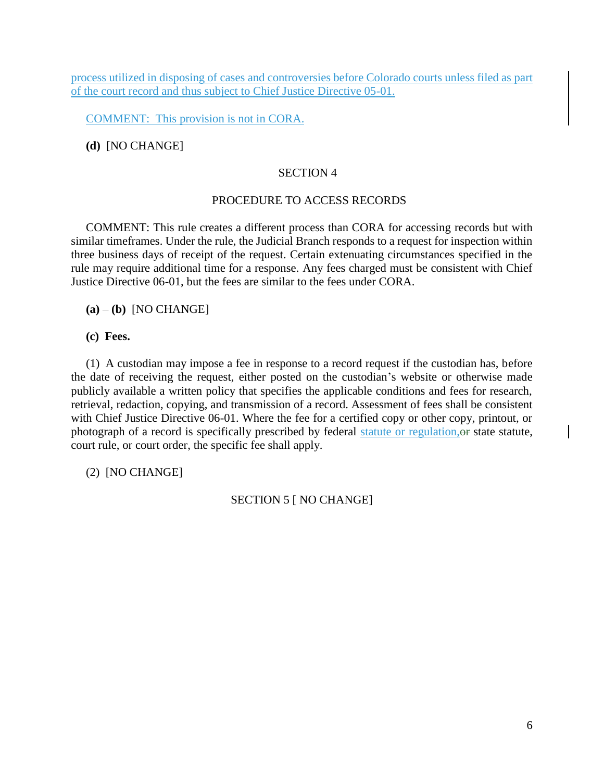process utilized in disposing of cases and controversies before Colorado courts unless filed as part of the court record and thus subject to Chief Justice Directive 05-01.

COMMENT: This provision is not in CORA.

**(d)** [NO CHANGE]

# SECTION 4

# PROCEDURE TO ACCESS RECORDS

COMMENT: This rule creates a different process than CORA for accessing records but with similar timeframes. Under the rule, the Judicial Branch responds to a request for inspection within three business days of receipt of the request. Certain extenuating circumstances specified in the rule may require additional time for a response. Any fees charged must be consistent with Chief Justice Directive 06-01, but the fees are similar to the fees under CORA.

**(a)** – **(b)** [NO CHANGE]

**(c) Fees.**

(1) A custodian may impose a fee in response to a record request if the custodian has, before the date of receiving the request, either posted on the custodian's website or otherwise made publicly available a written policy that specifies the applicable conditions and fees for research, retrieval, redaction, copying, and transmission of a record. Assessment of fees shall be consistent with Chief Justice Directive 06-01. Where the fee for a certified copy or other copy, printout, or photograph of a record is specifically prescribed by federal statute or regulation,or state statute, court rule, or court order, the specific fee shall apply.

(2) [NO CHANGE]

SECTION 5 [ NO CHANGE]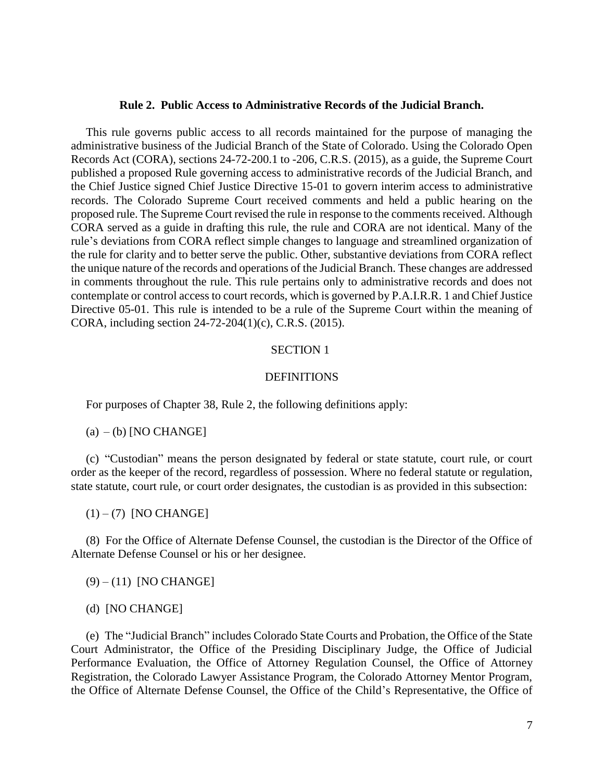#### **Rule 2. Public Access to Administrative Records of the Judicial Branch.**

This rule governs public access to all records maintained for the purpose of managing the administrative business of the Judicial Branch of the State of Colorado. Using the Colorado Open Records Act (CORA), sections 24-72-200.1 to -206, C.R.S. (2015), as a guide, the Supreme Court published a proposed Rule governing access to administrative records of the Judicial Branch, and the Chief Justice signed Chief Justice Directive 15-01 to govern interim access to administrative records. The Colorado Supreme Court received comments and held a public hearing on the proposed rule. The Supreme Court revised the rule in response to the comments received. Although CORA served as a guide in drafting this rule, the rule and CORA are not identical. Many of the rule's deviations from CORA reflect simple changes to language and streamlined organization of the rule for clarity and to better serve the public. Other, substantive deviations from CORA reflect the unique nature of the records and operations of the Judicial Branch. These changes are addressed in comments throughout the rule. This rule pertains only to administrative records and does not contemplate or control access to court records, which is governed by P.A.I.R.R. 1 and Chief Justice Directive 05-01. This rule is intended to be a rule of the Supreme Court within the meaning of CORA, including section 24-72-204(1)(c), C.R.S. (2015).

## SECTION 1

### **DEFINITIONS**

For purposes of Chapter 38, Rule 2, the following definitions apply:

 $(a) - (b)$  [NO CHANGE]

(c) "Custodian" means the person designated by federal or state statute, court rule, or court order as the keeper of the record, regardless of possession. Where no federal statute or regulation, state statute, court rule, or court order designates, the custodian is as provided in this subsection:

 $(1) - (7)$  [NO CHANGE]

(8) For the Office of Alternate Defense Counsel, the custodian is the Director of the Office of Alternate Defense Counsel or his or her designee.

 $(9) - (11)$  [NO CHANGE]

(d) [NO CHANGE]

(e) The "Judicial Branch" includes Colorado State Courts and Probation, the Office of the State Court Administrator, the Office of the Presiding Disciplinary Judge, the Office of Judicial Performance Evaluation, the Office of Attorney Regulation Counsel, the Office of Attorney Registration, the Colorado Lawyer Assistance Program, the Colorado Attorney Mentor Program, the Office of Alternate Defense Counsel, the Office of the Child's Representative, the Office of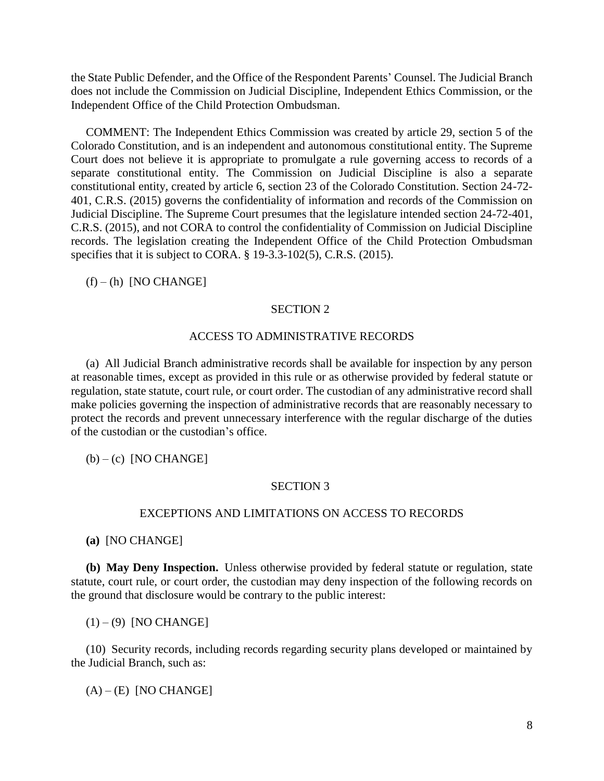the State Public Defender, and the Office of the Respondent Parents' Counsel. The Judicial Branch does not include the Commission on Judicial Discipline, Independent Ethics Commission, or the Independent Office of the Child Protection Ombudsman.

COMMENT: The Independent Ethics Commission was created by article 29, section 5 of the Colorado Constitution, and is an independent and autonomous constitutional entity. The Supreme Court does not believe it is appropriate to promulgate a rule governing access to records of a separate constitutional entity. The Commission on Judicial Discipline is also a separate constitutional entity, created by article 6, section 23 of the Colorado Constitution. Section 24-72- 401, C.R.S. (2015) governs the confidentiality of information and records of the Commission on Judicial Discipline. The Supreme Court presumes that the legislature intended section 24-72-401, C.R.S. (2015), and not CORA to control the confidentiality of Commission on Judicial Discipline records. The legislation creating the Independent Office of the Child Protection Ombudsman specifies that it is subject to CORA. § 19-3.3-102(5), C.R.S. (2015).

 $(f) - (h)$  [NO CHANGE]

## SECTION 2

## ACCESS TO ADMINISTRATIVE RECORDS

(a) All Judicial Branch administrative records shall be available for inspection by any person at reasonable times, except as provided in this rule or as otherwise provided by federal statute or regulation, state statute, court rule, or court order. The custodian of any administrative record shall make policies governing the inspection of administrative records that are reasonably necessary to protect the records and prevent unnecessary interference with the regular discharge of the duties of the custodian or the custodian's office.

 $(b) - (c)$  [NO CHANGE]

## SECTION 3

## EXCEPTIONS AND LIMITATIONS ON ACCESS TO RECORDS

**(a)** [NO CHANGE]

**(b) May Deny Inspection.** Unless otherwise provided by federal statute or regulation, state statute, court rule, or court order, the custodian may deny inspection of the following records on the ground that disclosure would be contrary to the public interest:

 $(1) - (9)$  [NO CHANGE]

(10) Security records, including records regarding security plans developed or maintained by the Judicial Branch, such as:

 $(A) - (E)$  [NO CHANGE]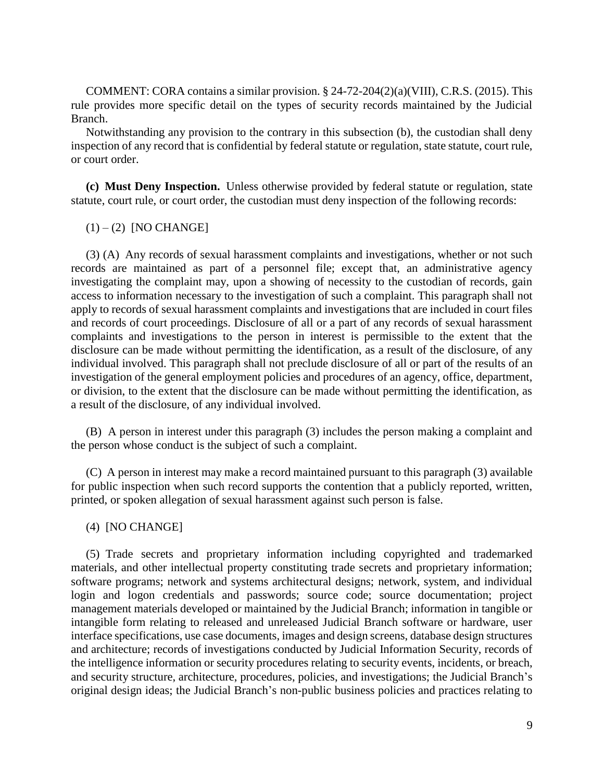COMMENT: CORA contains a similar provision. § 24-72-204(2)(a)(VIII), C.R.S. (2015). This rule provides more specific detail on the types of security records maintained by the Judicial Branch.

Notwithstanding any provision to the contrary in this subsection (b), the custodian shall deny inspection of any record that is confidential by federal statute or regulation, state statute, court rule, or court order.

**(c) Must Deny Inspection.** Unless otherwise provided by federal statute or regulation, state statute, court rule, or court order, the custodian must deny inspection of the following records:

 $(1) - (2)$  [NO CHANGE]

(3) (A) Any records of sexual harassment complaints and investigations, whether or not such records are maintained as part of a personnel file; except that, an administrative agency investigating the complaint may, upon a showing of necessity to the custodian of records, gain access to information necessary to the investigation of such a complaint. This paragraph shall not apply to records of sexual harassment complaints and investigations that are included in court files and records of court proceedings. Disclosure of all or a part of any records of sexual harassment complaints and investigations to the person in interest is permissible to the extent that the disclosure can be made without permitting the identification, as a result of the disclosure, of any individual involved. This paragraph shall not preclude disclosure of all or part of the results of an investigation of the general employment policies and procedures of an agency, office, department, or division, to the extent that the disclosure can be made without permitting the identification, as a result of the disclosure, of any individual involved.

(B) A person in interest under this paragraph (3) includes the person making a complaint and the person whose conduct is the subject of such a complaint.

(C) A person in interest may make a record maintained pursuant to this paragraph (3) available for public inspection when such record supports the contention that a publicly reported, written, printed, or spoken allegation of sexual harassment against such person is false.

### (4) [NO CHANGE]

(5) Trade secrets and proprietary information including copyrighted and trademarked materials, and other intellectual property constituting trade secrets and proprietary information; software programs; network and systems architectural designs; network, system, and individual login and logon credentials and passwords; source code; source documentation; project management materials developed or maintained by the Judicial Branch; information in tangible or intangible form relating to released and unreleased Judicial Branch software or hardware, user interface specifications, use case documents, images and design screens, database design structures and architecture; records of investigations conducted by Judicial Information Security, records of the intelligence information or security procedures relating to security events, incidents, or breach, and security structure, architecture, procedures, policies, and investigations; the Judicial Branch's original design ideas; the Judicial Branch's non-public business policies and practices relating to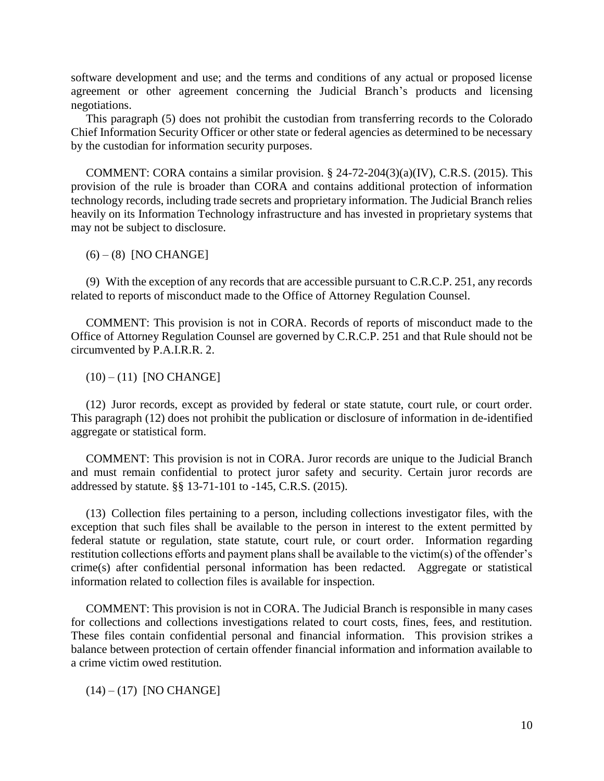software development and use; and the terms and conditions of any actual or proposed license agreement or other agreement concerning the Judicial Branch's products and licensing negotiations.

This paragraph (5) does not prohibit the custodian from transferring records to the Colorado Chief Information Security Officer or other state or federal agencies as determined to be necessary by the custodian for information security purposes.

COMMENT: CORA contains a similar provision.  $\S$  24-72-204(3)(a)(IV), C.R.S. (2015). This provision of the rule is broader than CORA and contains additional protection of information technology records, including trade secrets and proprietary information. The Judicial Branch relies heavily on its Information Technology infrastructure and has invested in proprietary systems that may not be subject to disclosure.

 $(6) - (8)$  [NO CHANGE]

(9) With the exception of any records that are accessible pursuant to C.R.C.P. 251, any records related to reports of misconduct made to the Office of Attorney Regulation Counsel.

COMMENT: This provision is not in CORA. Records of reports of misconduct made to the Office of Attorney Regulation Counsel are governed by C.R.C.P. 251 and that Rule should not be circumvented by P.A.I.R.R. 2.

 $(10) - (11)$  [NO CHANGE]

(12) Juror records, except as provided by federal or state statute, court rule, or court order. This paragraph (12) does not prohibit the publication or disclosure of information in de-identified aggregate or statistical form.

COMMENT: This provision is not in CORA. Juror records are unique to the Judicial Branch and must remain confidential to protect juror safety and security. Certain juror records are addressed by statute. §§ 13-71-101 to -145, C.R.S. (2015).

(13) Collection files pertaining to a person, including collections investigator files, with the exception that such files shall be available to the person in interest to the extent permitted by federal statute or regulation, state statute, court rule, or court order. Information regarding restitution collections efforts and payment plans shall be available to the victim(s) of the offender's crime(s) after confidential personal information has been redacted. Aggregate or statistical information related to collection files is available for inspection.

COMMENT: This provision is not in CORA. The Judicial Branch is responsible in many cases for collections and collections investigations related to court costs, fines, fees, and restitution. These files contain confidential personal and financial information. This provision strikes a balance between protection of certain offender financial information and information available to a crime victim owed restitution.

 $(14) - (17)$  [NO CHANGE]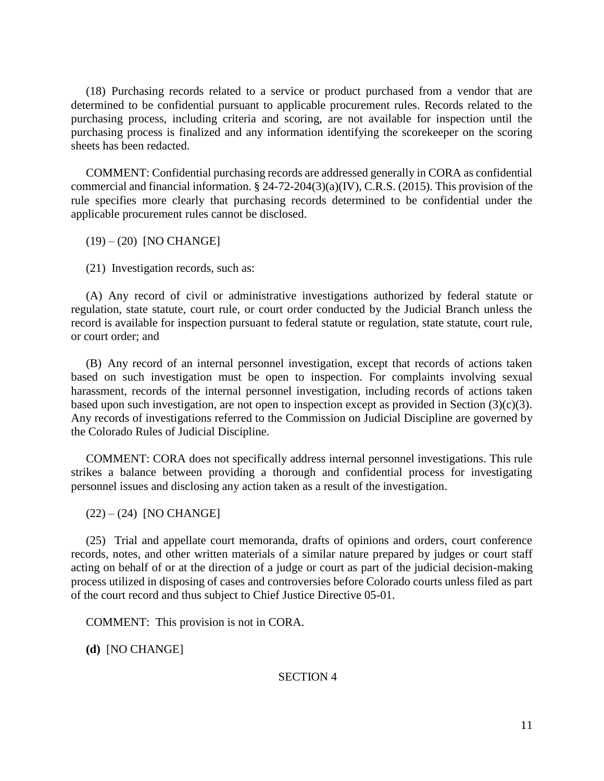(18) Purchasing records related to a service or product purchased from a vendor that are determined to be confidential pursuant to applicable procurement rules. Records related to the purchasing process, including criteria and scoring, are not available for inspection until the purchasing process is finalized and any information identifying the scorekeeper on the scoring sheets has been redacted.

COMMENT: Confidential purchasing records are addressed generally in CORA as confidential commercial and financial information. § 24-72-204(3)(a)(IV), C.R.S. (2015). This provision of the rule specifies more clearly that purchasing records determined to be confidential under the applicable procurement rules cannot be disclosed.

(19) – (20) [NO CHANGE]

(21) Investigation records, such as:

(A) Any record of civil or administrative investigations authorized by federal statute or regulation, state statute, court rule, or court order conducted by the Judicial Branch unless the record is available for inspection pursuant to federal statute or regulation, state statute, court rule, or court order; and

(B) Any record of an internal personnel investigation, except that records of actions taken based on such investigation must be open to inspection. For complaints involving sexual harassment, records of the internal personnel investigation, including records of actions taken based upon such investigation, are not open to inspection except as provided in Section (3)(c)(3). Any records of investigations referred to the Commission on Judicial Discipline are governed by the Colorado Rules of Judicial Discipline.

COMMENT: CORA does not specifically address internal personnel investigations. This rule strikes a balance between providing a thorough and confidential process for investigating personnel issues and disclosing any action taken as a result of the investigation.

 $(22) - (24)$  [NO CHANGE]

(25) Trial and appellate court memoranda, drafts of opinions and orders, court conference records, notes, and other written materials of a similar nature prepared by judges or court staff acting on behalf of or at the direction of a judge or court as part of the judicial decision-making process utilized in disposing of cases and controversies before Colorado courts unless filed as part of the court record and thus subject to Chief Justice Directive 05-01.

COMMENT: This provision is not in CORA.

**(d)** [NO CHANGE]

SECTION 4